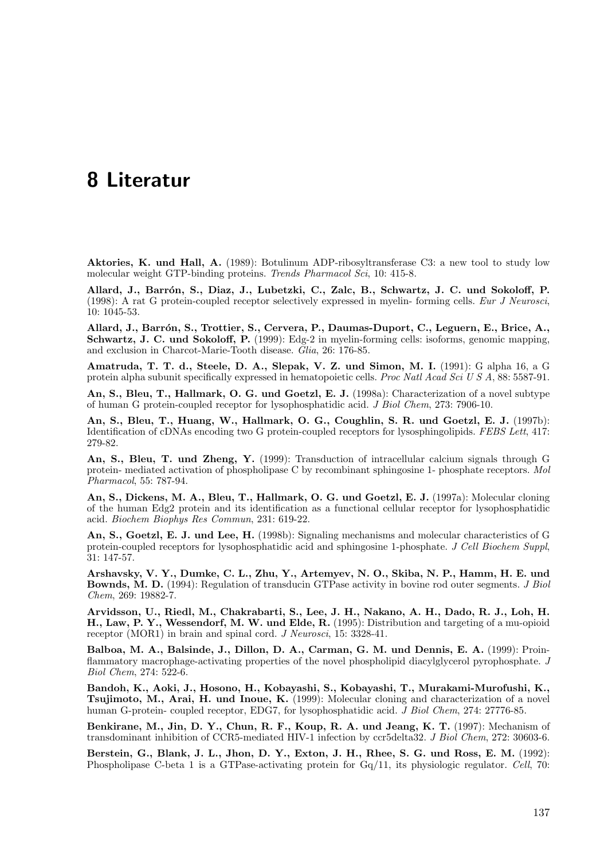## 8 Literatur

Aktories, K. und Hall, A. (1989): Botulinum ADP-ribosyltransferase C3: a new tool to study low molecular weight GTP-binding proteins. Trends Pharmacol Sci, 10: 415-8.

Allard, J., Barrón, S., Diaz, J., Lubetzki, C., Zalc, B., Schwartz, J. C. und Sokoloff, P. (1998): A rat G protein-coupled receptor selectively expressed in myelin- forming cells. Eur J Neurosci, 10: 1045-53.

Allard, J., Barrón, S., Trottier, S., Cervera, P., Daumas-Duport, C., Leguern, E., Brice, A., Schwartz, J. C. und Sokoloff, P. (1999): Edg-2 in myelin-forming cells: isoforms, genomic mapping, and exclusion in Charcot-Marie-Tooth disease. Glia, 26: 176-85.

Amatruda, T. T. d., Steele, D. A., Slepak, V. Z. und Simon, M. I. (1991): G alpha 16, a G protein alpha subunit specifically expressed in hematopoietic cells. Proc Natl Acad Sci U S A, 88: 5587-91.

An, S., Bleu, T., Hallmark, O. G. und Goetzl, E. J. (1998a): Characterization of a novel subtype of human G protein-coupled receptor for lysophosphatidic acid. J Biol Chem, 273: 7906-10.

An, S., Bleu, T., Huang, W., Hallmark, O. G., Coughlin, S. R. und Goetzl, E. J. (1997b): Identification of cDNAs encoding two G protein-coupled receptors for lysosphingolipids. FEBS Lett, 417: 279-82.

An, S., Bleu, T. und Zheng, Y. (1999): Transduction of intracellular calcium signals through G protein- mediated activation of phospholipase C by recombinant sphingosine 1- phosphate receptors. Mol Pharmacol, 55: 787-94.

An, S., Dickens, M. A., Bleu, T., Hallmark, O. G. und Goetzl, E. J. (1997a): Molecular cloning of the human Edg2 protein and its identification as a functional cellular receptor for lysophosphatidic acid. Biochem Biophys Res Commun, 231: 619-22.

An, S., Goetzl, E. J. und Lee, H. (1998b): Signaling mechanisms and molecular characteristics of G protein-coupled receptors for lysophosphatidic acid and sphingosine 1-phosphate. J Cell Biochem Suppl, 31: 147-57.

Arshavsky, V. Y., Dumke, C. L., Zhu, Y., Artemyev, N. O., Skiba, N. P., Hamm, H. E. und Bownds, M. D. (1994): Regulation of transducin GTPase activity in bovine rod outer segments. J Biol Chem, 269: 19882-7.

Arvidsson, U., Riedl, M., Chakrabarti, S., Lee, J. H., Nakano, A. H., Dado, R. J., Loh, H. H., Law, P. Y., Wessendorf, M. W. und Elde, R. (1995): Distribution and targeting of a mu-opioid receptor (MOR1) in brain and spinal cord. *J Neurosci*, 15: 3328-41.

Balboa, M. A., Balsinde, J., Dillon, D. A., Carman, G. M. und Dennis, E. A. (1999): Proinflammatory macrophage-activating properties of the novel phospholipid diacylglycerol pyrophosphate. J Biol Chem, 274: 522-6.

Bandoh, K., Aoki, J., Hosono, H., Kobayashi, S., Kobayashi, T., Murakami-Murofushi, K., Tsujimoto, M., Arai, H. und Inoue, K. (1999): Molecular cloning and characterization of a novel human G-protein- coupled receptor, EDG7, for lysophosphatidic acid. J Biol Chem, 274: 27776-85.

Benkirane, M., Jin, D. Y., Chun, R. F., Koup, R. A. und Jeang, K. T. (1997): Mechanism of transdominant inhibition of CCR5-mediated HIV-1 infection by ccr5delta32. J Biol Chem, 272: 30603-6.

Berstein, G., Blank, J. L., Jhon, D. Y., Exton, J. H., Rhee, S. G. und Ross, E. M. (1992): Phospholipase C-beta 1 is a GTPase-activating protein for Gq/11, its physiologic regulator. Cell, 70: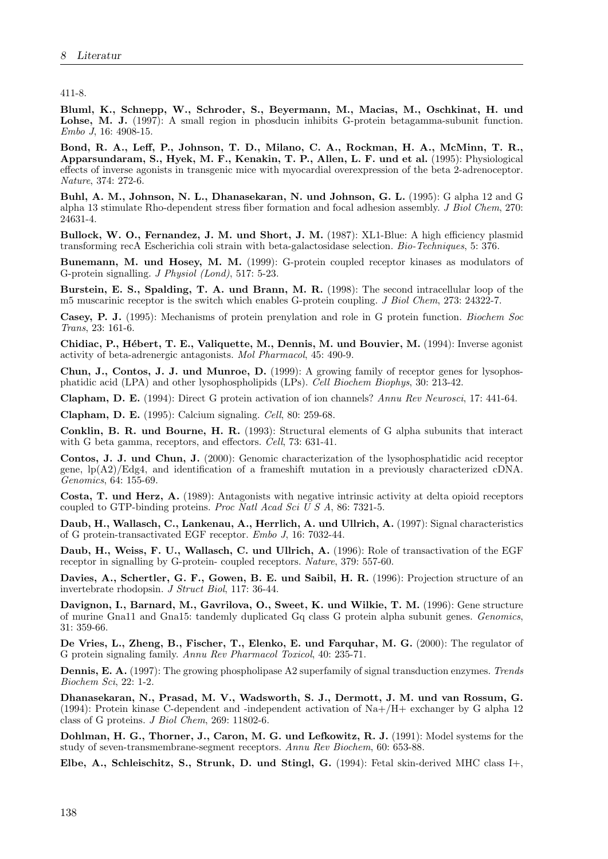411-8.

Bluml, K., Schnepp, W., Schroder, S., Beyermann, M., Macias, M., Oschkinat, H. und Lohse, M. J. (1997): A small region in phosducin inhibits G-protein betagamma-subunit function. Embo J, 16: 4908-15.

Bond, R. A., Leff, P., Johnson, T. D., Milano, C. A., Rockman, H. A., McMinn, T. R., Apparsundaram, S., Hyek, M. F., Kenakin, T. P., Allen, L. F. und et al. (1995): Physiological effects of inverse agonists in transgenic mice with myocardial overexpression of the beta 2-adrenoceptor. Nature, 374: 272-6.

Buhl, A. M., Johnson, N. L., Dhanasekaran, N. und Johnson, G. L. (1995): G alpha 12 and G alpha 13 stimulate Rho-dependent stress fiber formation and focal adhesion assembly. J Biol Chem, 270: 24631-4.

Bullock, W. O., Fernandez, J. M. und Short, J. M. (1987): XL1-Blue: A high efficiency plasmid transforming recA Escherichia coli strain with beta-galactosidase selection. Bio-Techniques, 5: 376.

Bunemann, M. und Hosey, M. M. (1999): G-protein coupled receptor kinases as modulators of G-protein signalling. J Physiol (Lond), 517: 5-23.

Burstein, E. S., Spalding, T. A. und Brann, M. R. (1998): The second intracellular loop of the m5 muscarinic receptor is the switch which enables G-protein coupling. *J Biol Chem.* 273: 24322-7.

Casey, P. J. (1995): Mechanisms of protein prenylation and role in G protein function. Biochem Soc Trans, 23: 161-6.

Chidiac, P., Hébert, T. E., Valiquette, M., Dennis, M. und Bouvier, M. (1994): Inverse agonist activity of beta-adrenergic antagonists. Mol Pharmacol, 45: 490-9.

Chun, J., Contos, J. J. und Munroe, D. (1999): A growing family of receptor genes for lysophosphatidic acid (LPA) and other lysophospholipids (LPs). Cell Biochem Biophys, 30: 213-42.

Clapham, D. E. (1994): Direct G protein activation of ion channels? Annu Rev Neurosci, 17: 441-64.

Clapham, D. E. (1995): Calcium signaling. Cell, 80: 259-68.

Conklin, B. R. und Bourne, H. R. (1993): Structural elements of G alpha subunits that interact with G beta gamma, receptors, and effectors. Cell, 73: 631-41.

Contos, J. J. und Chun, J. (2000): Genomic characterization of the lysophosphatidic acid receptor gene, lp(A2)/Edg4, and identification of a frameshift mutation in a previously characterized cDNA. Genomics, 64: 155-69.

Costa, T. und Herz, A. (1989): Antagonists with negative intrinsic activity at delta opioid receptors coupled to GTP-binding proteins. Proc Natl Acad Sci  $\breve{U} S A$ , 86: 7321-5.

Daub, H., Wallasch, C., Lankenau, A., Herrlich, A. und Ullrich, A. (1997): Signal characteristics of G protein-transactivated EGF receptor. Embo J, 16: 7032-44.

Daub, H., Weiss, F. U., Wallasch, C. und Ullrich, A. (1996): Role of transactivation of the EGF receptor in signalling by G-protein- coupled receptors. Nature, 379: 557-60.

Davies, A., Schertler, G. F., Gowen, B. E. und Saibil, H. R. (1996): Projection structure of an invertebrate rhodopsin. J Struct Biol, 117: 36-44.

Davignon, I., Barnard, M., Gavrilova, O., Sweet, K. und Wilkie, T. M. (1996): Gene structure of murine Gna11 and Gna15: tandemly duplicated Gq class G protein alpha subunit genes. Genomics, 31: 359-66.

De Vries, L., Zheng, B., Fischer, T., Elenko, E. und Farquhar, M. G. (2000): The regulator of G protein signaling family. Annu Rev Pharmacol Toxicol, 40: 235-71.

Dennis, E. A. (1997): The growing phospholipase A2 superfamily of signal transduction enzymes. Trends Biochem Sci, 22: 1-2.

Dhanasekaran, N., Prasad, M. V., Wadsworth, S. J., Dermott, J. M. und van Rossum, G. (1994): Protein kinase C-dependent and -independent activation of Na+/H+ exchanger by G alpha 12 class of G proteins.  $J Biol$  Chem, 269: 11802-6.

Dohlman, H. G., Thorner, J., Caron, M. G. und Lefkowitz, R. J. (1991): Model systems for the study of seven-transmembrane-segment receptors. Annu Rev Biochem, 60: 653-88.

Elbe, A., Schleischitz, S., Strunk, D. und Stingl, G. (1994): Fetal skin-derived MHC class I+,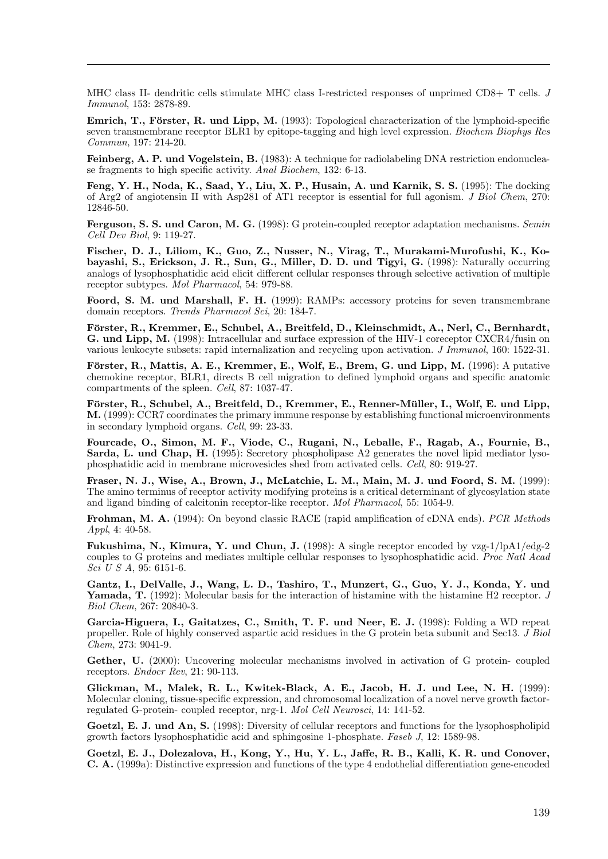MHC class II- dendritic cells stimulate MHC class I-restricted responses of unprimed CD8+ T cells. J Immunol, 153: 2878-89.

Emrich, T., Förster, R. und Lipp, M. (1993): Topological characterization of the lymphoid-specific seven transmembrane receptor BLR1 by epitope-tagging and high level expression. Biochem Biophys Res Commun, 197: 214-20.

Feinberg, A. P. und Vogelstein, B. (1983): A technique for radiolabeling DNA restriction endonuclease fragments to high specific activity. Anal Biochem, 132: 6-13.

Feng, Y. H., Noda, K., Saad, Y., Liu, X. P., Husain, A. und Karnik, S. S. (1995): The docking of Arg2 of angiotensin II with Asp281 of AT1 receptor is essential for full agonism. J Biol Chem, 270: 12846-50.

Ferguson, S. S. und Caron, M. G. (1998): G protein-coupled receptor adaptation mechanisms. Semin Cell Dev Biol, 9: 119-27.

Fischer, D. J., Liliom, K., Guo, Z., Nusser, N., Virag, T., Murakami-Murofushi, K., Kobayashi, S., Erickson, J. R., Sun, G., Miller, D. D. und Tigyi, G. (1998): Naturally occurring analogs of lysophosphatidic acid elicit different cellular responses through selective activation of multiple receptor subtypes. Mol Pharmacol, 54: 979-88.

Foord, S. M. und Marshall, F. H. (1999): RAMPs: accessory proteins for seven transmembrane domain receptors. Trends Pharmacol Sci, 20: 184-7.

Förster, R., Kremmer, E., Schubel, A., Breitfeld, D., Kleinschmidt, A., Nerl, C., Bernhardt, G. und Lipp, M. (1998): Intracellular and surface expression of the HIV-1 coreceptor CXCR4/fusin on various leukocyte subsets: rapid internalization and recycling upon activation. J Immunol, 160: 1522-31.

Förster, R., Mattis, A. E., Kremmer, E., Wolf, E., Brem, G. und Lipp, M. (1996): A putative chemokine receptor, BLR1, directs B cell migration to defined lymphoid organs and specific anatomic compartments of the spleen. Cell, 87: 1037-47.

Förster, R., Schubel, A., Breitfeld, D., Kremmer, E., Renner-Müller, I., Wolf, E. und Lipp, M. (1999): CCR7 coordinates the primary immune response by establishing functional microenvironments in secondary lymphoid organs. Cell, 99: 23-33.

Fourcade, O., Simon, M. F., Viode, C., Rugani, N., Leballe, F., Ragab, A., Fournie, B., Sarda, L. und Chap, H. (1995): Secretory phospholipase A2 generates the novel lipid mediator lysophosphatidic acid in membrane microvesicles shed from activated cells. Cell, 80: 919-27.

Fraser, N. J., Wise, A., Brown, J., McLatchie, L. M., Main, M. J. und Foord, S. M. (1999): The amino terminus of receptor activity modifying proteins is a critical determinant of glycosylation state and ligand binding of calcitonin receptor-like receptor. Mol Pharmacol, 55: 1054-9.

Frohman, M. A. (1994): On beyond classic RACE (rapid amplification of cDNA ends). PCR Methods Appl, 4: 40-58.

Fukushima, N., Kimura, Y. und Chun, J. (1998): A single receptor encoded by vzg-1/lpA1/edg-2 couples to G proteins and mediates multiple cellular responses to lysophosphatidic acid. Proc Natl Acad Sci U S A, 95: 6151-6.

Gantz, I., DelValle, J., Wang, L. D., Tashiro, T., Munzert, G., Guo, Y. J., Konda, Y. und Yamada, T. (1992): Molecular basis for the interaction of histamine with the histamine H2 receptor. J Biol Chem, 267: 20840-3.

Garcia-Higuera, I., Gaitatzes, C., Smith, T. F. und Neer, E. J. (1998): Folding a WD repeat propeller. Role of highly conserved aspartic acid residues in the G protein beta subunit and Sec13. J Biol Chem, 273: 9041-9.

Gether, U. (2000): Uncovering molecular mechanisms involved in activation of G protein- coupled receptors. *Endocr Rev*, 21: 90-113.

Glickman, M., Malek, R. L., Kwitek-Black, A. E., Jacob, H. J. und Lee, N. H. (1999): Molecular cloning, tissue-specific expression, and chromosomal localization of a novel nerve growth factorregulated G-protein- coupled receptor, nrg-1. Mol Cell Neurosci, 14: 141-52.

Goetzl, E. J. und An, S. (1998): Diversity of cellular receptors and functions for the lysophospholipid growth factors lysophosphatidic acid and sphingosine 1-phosphate. Faseb J, 12: 1589-98.

Goetzl, E. J., Dolezalova, H., Kong, Y., Hu, Y. L., Jaffe, R. B., Kalli, K. R. und Conover, C. A. (1999a): Distinctive expression and functions of the type 4 endothelial differentiation gene-encoded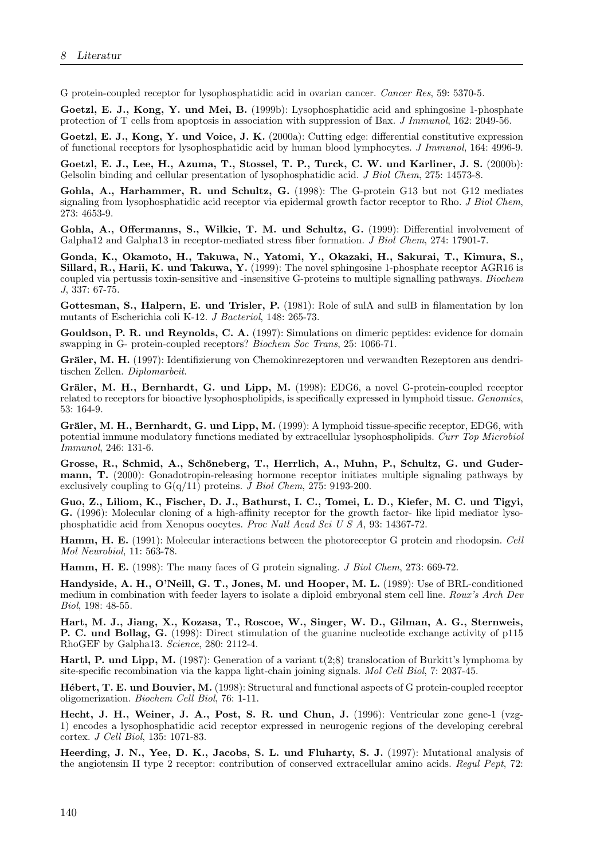G protein-coupled receptor for lysophosphatidic acid in ovarian cancer. Cancer Res, 59: 5370-5.

Goetzl, E. J., Kong, Y. und Mei, B. (1999b): Lysophosphatidic acid and sphingosine 1-phosphate protection of T cells from apoptosis in association with suppression of Bax. J Immunol, 162: 2049-56.

Goetzl, E. J., Kong, Y. und Voice, J. K. (2000a): Cutting edge: differential constitutive expression of functional receptors for lysophosphatidic acid by human blood lymphocytes. J Immunol, 164: 4996-9.

Goetzl, E. J., Lee, H., Azuma, T., Stossel, T. P., Turck, C. W. und Karliner, J. S. (2000b): Gelsolin binding and cellular presentation of lysophosphatidic acid. *J Biol Chem*, 275: 14573-8.

Gohla, A., Harhammer, R. und Schultz, G. (1998): The G-protein G13 but not G12 mediates signaling from lysophosphatidic acid receptor via epidermal growth factor receptor to Rho. J Biol Chem, 273: 4653-9.

Gohla, A., Offermanns, S., Wilkie, T. M. und Schultz, G. (1999): Differential involvement of Galpha12 and Galpha13 in receptor-mediated stress fiber formation. J Biol Chem, 274: 17901-7.

Gonda, K., Okamoto, H., Takuwa, N., Yatomi, Y., Okazaki, H., Sakurai, T., Kimura, S., Sillard, R., Harii, K. und Takuwa, Y. (1999): The novel sphingosine 1-phosphate receptor AGR16 is coupled via pertussis toxin-sensitive and -insensitive G-proteins to multiple signalling pathways. Biochem J, 337: 67-75.

Gottesman, S., Halpern, E. und Trisler, P. (1981): Role of sulA and sulB in filamentation by lon mutants of Escherichia coli K-12. J Bacteriol, 148: 265-73.

Gouldson, P. R. und Reynolds, C. A. (1997): Simulations on dimeric peptides: evidence for domain swapping in G- protein-coupled receptors? Biochem Soc Trans, 25: 1066-71.

Gräler, M. H. (1997): Identifizierung von Chemokinrezeptoren und verwandten Rezeptoren aus dendritischen Zellen. Diplomarbeit.

Gräler, M. H., Bernhardt, G. und Lipp, M. (1998): EDG6, a novel G-protein-coupled receptor related to receptors for bioactive lysophospholipids, is specifically expressed in lymphoid tissue. Genomics, 53: 164-9.

Gräler, M. H., Bernhardt, G. und Lipp, M. (1999): A lymphoid tissue-specific receptor, EDG6, with potential immune modulatory functions mediated by extracellular lysophospholipids. Curr Top Microbiol Immunol, 246: 131-6.

Grosse, R., Schmid, A., Schöneberg, T., Herrlich, A., Muhn, P., Schultz, G. und Gudermann, T. (2000): Gonadotropin-releasing hormone receptor initiates multiple signaling pathways by exclusively coupling to  $G(q/11)$  proteins. J Biol Chem, 275: 9193-200.

Guo, Z., Liliom, K., Fischer, D. J., Bathurst, I. C., Tomei, L. D., Kiefer, M. C. und Tigyi, G. (1996): Molecular cloning of a high-affinity receptor for the growth factor- like lipid mediator lysophosphatidic acid from Xenopus oocytes. Proc Natl Acad Sci U S A, 93: 14367-72.

Hamm, H. E. (1991): Molecular interactions between the photoreceptor G protein and rhodopsin. Cell Mol Neurobiol, 11: 563-78.

Hamm, H. E. (1998): The many faces of G protein signaling. J Biol Chem, 273: 669-72.

Handyside, A. H., O'Neill, G. T., Jones, M. und Hooper, M. L. (1989): Use of BRL-conditioned medium in combination with feeder layers to isolate a diploid embryonal stem cell line. Roux's Arch Dev Biol, 198: 48-55.

Hart, M. J., Jiang, X., Kozasa, T., Roscoe, W., Singer, W. D., Gilman, A. G., Sternweis, P. C. und Bollag, G. (1998): Direct stimulation of the guanine nucleotide exchange activity of p115 RhoGEF by Galpha13. Science, 280: 2112-4.

Hartl, P. und Lipp, M. (1987): Generation of a variant t(2;8) translocation of Burkitt's lymphoma by site-specific recombination via the kappa light-chain joining signals. Mol Cell Biol, 7: 2037-45.

Hébert, T. E. und Bouvier, M. (1998): Structural and functional aspects of G protein-coupled receptor oligomerization. Biochem Cell Biol, 76: 1-11.

Hecht, J. H., Weiner, J. A., Post, S. R. und Chun, J. (1996): Ventricular zone gene-1 (vzg-1) encodes a lysophosphatidic acid receptor expressed in neurogenic regions of the developing cerebral cortex. J Cell Biol, 135: 1071-83.

Heerding, J. N., Yee, D. K., Jacobs, S. L. und Fluharty, S. J. (1997): Mutational analysis of the angiotensin II type 2 receptor: contribution of conserved extracellular amino acids. Regul Pept, 72: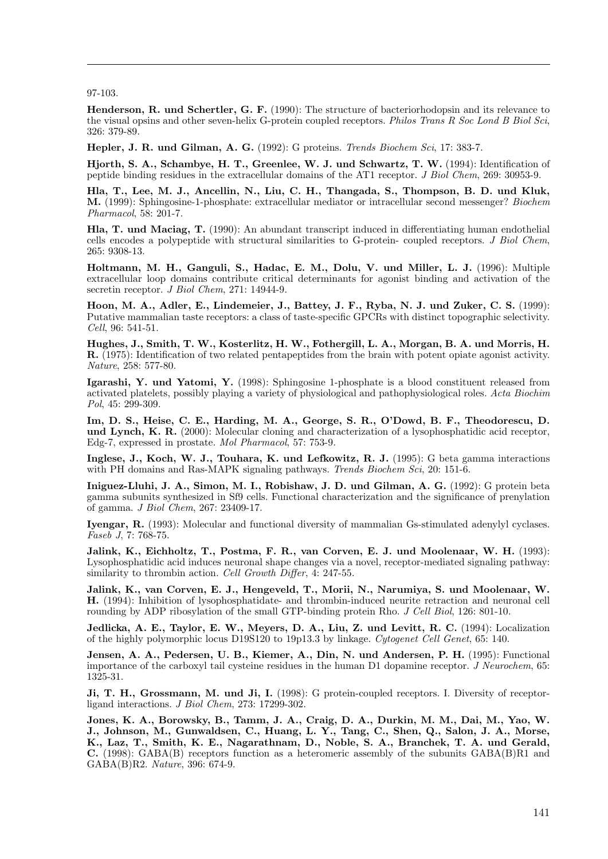97-103.

Henderson, R. und Schertler, G. F. (1990): The structure of bacteriorhodopsin and its relevance to the visual opsins and other seven-helix G-protein coupled receptors. Philos Trans R Soc Lond B Biol Sci, 326: 379-89.

Hepler, J. R. und Gilman, A. G. (1992): G proteins. Trends Biochem Sci, 17: 383-7.

Hjorth, S. A., Schambye, H. T., Greenlee, W. J. und Schwartz, T. W. (1994): Identification of peptide binding residues in the extracellular domains of the AT1 receptor. J Biol Chem, 269: 30953-9.

Hla, T., Lee, M. J., Ancellin, N., Liu, C. H., Thangada, S., Thompson, B. D. und Kluk, M. (1999): Sphingosine-1-phosphate: extracellular mediator or intracellular second messenger? Biochem Pharmacol, 58: 201-7.

Hla, T. und Maciag, T. (1990): An abundant transcript induced in differentiating human endothelial cells encodes a polypeptide with structural similarities to G-protein- coupled receptors. J Biol Chem, 265: 9308-13.

Holtmann, M. H., Ganguli, S., Hadac, E. M., Dolu, V. und Miller, L. J. (1996): Multiple extracellular loop domains contribute critical determinants for agonist binding and activation of the secretin receptor. J Biol Chem, 271: 14944-9.

Hoon, M. A., Adler, E., Lindemeier, J., Battey, J. F., Ryba, N. J. und Zuker, C. S. (1999): Putative mammalian taste receptors: a class of taste-specific GPCRs with distinct topographic selectivity. Cell, 96: 541-51.

Hughes, J., Smith, T. W., Kosterlitz, H. W., Fothergill, L. A., Morgan, B. A. und Morris, H. R. (1975): Identification of two related pentapeptides from the brain with potent opiate agonist activity. Nature, 258: 577-80.

Igarashi, Y. und Yatomi, Y. (1998): Sphingosine 1-phosphate is a blood constituent released from activated platelets, possibly playing a variety of physiological and pathophysiological roles. Acta Biochim Pol, 45: 299-309.

Im, D. S., Heise, C. E., Harding, M. A., George, S. R., O'Dowd, B. F., Theodorescu, D. und Lynch, K. R. (2000): Molecular cloning and characterization of a lysophosphatidic acid receptor, Edg-7, expressed in prostate. Mol Pharmacol, 57: 753-9.

Inglese, J., Koch, W. J., Touhara, K. und Lefkowitz, R. J. (1995): G beta gamma interactions with PH domains and Ras-MAPK signaling pathways. Trends Biochem Sci, 20: 151-6.

Iniguez-Lluhi, J. A., Simon, M. I., Robishaw, J. D. und Gilman, A. G. (1992): G protein beta gamma subunits synthesized in Sf9 cells. Functional characterization and the significance of prenylation of gamma. J Biol Chem, 267: 23409-17.

Iyengar, R. (1993): Molecular and functional diversity of mammalian Gs-stimulated adenylyl cyclases. Faseb J, 7: 768-75.

Jalink, K., Eichholtz, T., Postma, F. R., van Corven, E. J. und Moolenaar, W. H. (1993): Lysophosphatidic acid induces neuronal shape changes via a novel, receptor-mediated signaling pathway: similarity to thrombin action. Cell Growth Differ, 4: 247-55.

Jalink, K., van Corven, E. J., Hengeveld, T., Morii, N., Narumiya, S. und Moolenaar, W. H. (1994): Inhibition of lysophosphatidate- and thrombin-induced neurite retraction and neuronal cell rounding by ADP ribosylation of the small GTP-binding protein Rho. J Cell Biol, 126: 801-10.

Jedlicka, A. E., Taylor, E. W., Meyers, D. A., Liu, Z. und Levitt, R. C. (1994): Localization of the highly polymorphic locus D19S120 to 19p13.3 by linkage. Cytogenet Cell Genet, 65: 140.

Jensen, A. A., Pedersen, U. B., Kiemer, A., Din, N. und Andersen, P. H. (1995): Functional importance of the carboxyl tail cysteine residues in the human D1 dopamine receptor. J Neurochem, 65: 1325-31.

Ji, T. H., Grossmann, M. und Ji, I. (1998): G protein-coupled receptors. I. Diversity of receptorligand interactions. J Biol Chem, 273: 17299-302.

Jones, K. A., Borowsky, B., Tamm, J. A., Craig, D. A., Durkin, M. M., Dai, M., Yao, W. J., Johnson, M., Gunwaldsen, C., Huang, L. Y., Tang, C., Shen, Q., Salon, J. A., Morse, K., Laz, T., Smith, K. E., Nagarathnam, D., Noble, S. A., Branchek, T. A. und Gerald, **C.** (1998): GABA(B) receptors function as a heteromeric assembly of the subunits  $GABA(B)R1$  and GABA(B)R2. Nature, 396: 674-9.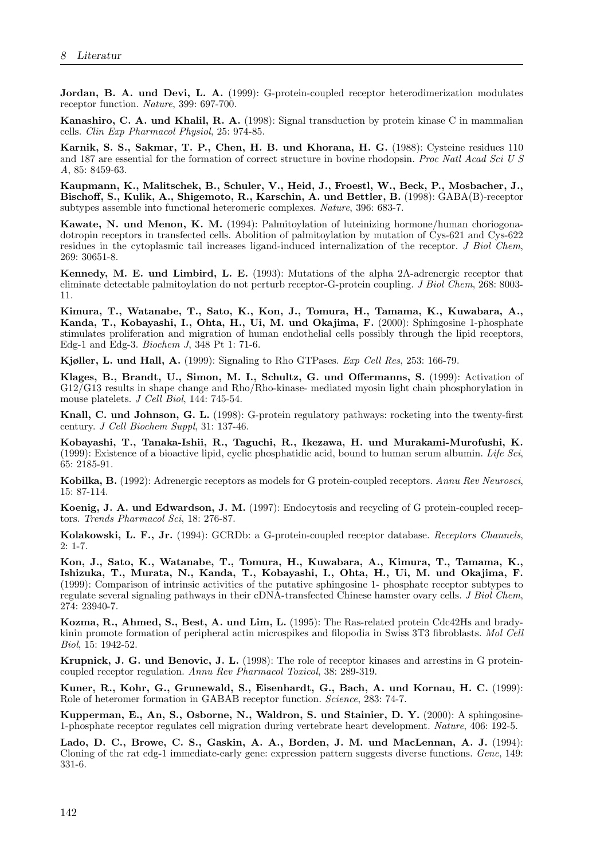Jordan, B. A. und Devi, L. A. (1999): G-protein-coupled receptor heterodimerization modulates receptor function. Nature, 399: 697-700.

Kanashiro, C. A. und Khalil, R. A. (1998): Signal transduction by protein kinase C in mammalian cells. Clin Exp Pharmacol Physiol, 25: 974-85.

Karnik, S. S., Sakmar, T. P., Chen, H. B. und Khorana, H. G. (1988): Cysteine residues 110 and 187 are essential for the formation of correct structure in bovine rhodopsin. Proc Natl Acad Sci U S A, 85: 8459-63.

Kaupmann, K., Malitschek, B., Schuler, V., Heid, J., Froestl, W., Beck, P., Mosbacher, J., Bischoff, S., Kulik, A., Shigemoto, R., Karschin, A. und Bettler, B. (1998): GABA(B)-receptor subtypes assemble into functional heteromeric complexes. Nature, 396: 683-7.

Kawate, N. und Menon, K. M. (1994): Palmitoylation of luteinizing hormone/human choriogonadotropin receptors in transfected cells. Abolition of palmitoylation by mutation of Cys-621 and Cys-622 residues in the cytoplasmic tail increases ligand-induced internalization of the receptor. J Biol Chem, 269: 30651-8.

Kennedy, M. E. und Limbird, L. E. (1993): Mutations of the alpha 2A-adrenergic receptor that eliminate detectable palmitoylation do not perturb receptor-G-protein coupling. J Biol Chem, 268: 8003- 11.

Kimura, T., Watanabe, T., Sato, K., Kon, J., Tomura, H., Tamama, K., Kuwabara, A., Kanda, T., Kobayashi, I., Ohta, H., Ui, M. und Okajima, F. (2000): Sphingosine 1-phosphate stimulates proliferation and migration of human endothelial cells possibly through the lipid receptors, Edg-1 and Edg-3. Biochem J, 348 Pt 1: 71-6.

Kjøller, L. und Hall, A. (1999): Signaling to Rho GTPases. Exp Cell Res, 253: 166-79.

Klages, B., Brandt, U., Simon, M. I., Schultz, G. und Offermanns, S. (1999): Activation of G12/G13 results in shape change and Rho/Rho-kinase- mediated myosin light chain phosphorylation in mouse platelets. J Cell Biol, 144: 745-54.

Knall, C. und Johnson, G. L. (1998): G-protein regulatory pathways: rocketing into the twenty-first century. J Cell Biochem Suppl, 31: 137-46.

Kobayashi, T., Tanaka-Ishii, R., Taguchi, R., Ikezawa, H. und Murakami-Murofushi, K. (1999): Existence of a bioactive lipid, cyclic phosphatidic acid, bound to human serum albumin. Life Sci, 65: 2185-91.

Kobilka, B. (1992): Adrenergic receptors as models for G protein-coupled receptors. Annu Rev Neurosci, 15: 87-114.

Koenig, J. A. und Edwardson, J. M. (1997): Endocytosis and recycling of G protein-coupled receptors. Trends Pharmacol Sci, 18: 276-87.

Kolakowski, L. F., Jr. (1994): GCRDb: a G-protein-coupled receptor database. Receptors Channels, 2: 1-7.

Kon, J., Sato, K., Watanabe, T., Tomura, H., Kuwabara, A., Kimura, T., Tamama, K., Ishizuka, T., Murata, N., Kanda, T., Kobayashi, I., Ohta, H., Ui, M. und Okajima, F. (1999): Comparison of intrinsic activities of the putative sphingosine 1- phosphate receptor subtypes to regulate several signaling pathways in their cDNA-transfected Chinese hamster ovary cells. J Biol Chem, 274: 23940-7.

Kozma, R., Ahmed, S., Best, A. und Lim, L. (1995): The Ras-related protein Cdc42Hs and bradykinin promote formation of peripheral actin microspikes and filopodia in Swiss 3T3 fibroblasts. Mol Cell Biol, 15: 1942-52.

Krupnick, J. G. und Benovic, J. L. (1998): The role of receptor kinases and arrestins in G proteincoupled receptor regulation. Annu Rev Pharmacol Toxicol, 38: 289-319.

Kuner, R., Kohr, G., Grunewald, S., Eisenhardt, G., Bach, A. und Kornau, H. C. (1999): Role of heteromer formation in GABAB receptor function. Science, 283: 74-7.

Kupperman, E., An, S., Osborne, N., Waldron, S. und Stainier, D. Y. (2000): A sphingosine-1-phosphate receptor regulates cell migration during vertebrate heart development. Nature, 406: 192-5.

Lado, D. C., Browe, C. S., Gaskin, A. A., Borden, J. M. und MacLennan, A. J. (1994): Cloning of the rat edg-1 immediate-early gene: expression pattern suggests diverse functions. Gene, 149: 331-6.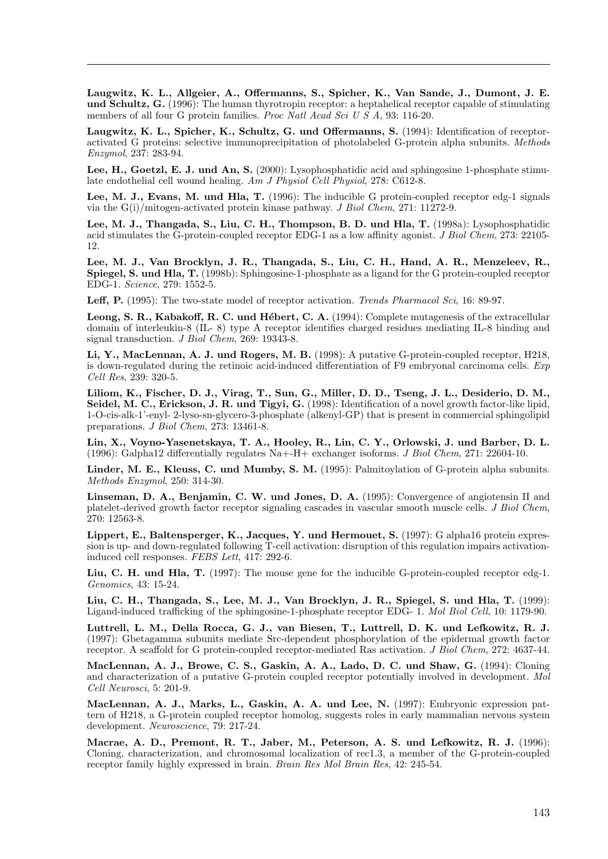Laugwitz, K. L., Allgeier, A., Offermanns, S., Spicher, K., Van Sande, J., Dumont, J. E. und Schultz, G. (1996): The human thyrotropin receptor: a heptahelical receptor capable of stimulating members of all four G protein families. Proc Natl Acad Sci U S A, 93: 116-20.

Laugwitz, K. L., Spicher, K., Schultz, G. und Offermanns, S. (1994): Identification of receptoractivated G proteins: selective immunoprecipitation of photolabeled G-protein alpha subunits. Methods Enzymol, 237: 283-94.

Lee, H., Goetzl, E. J. und An, S. (2000): Lysophosphatidic acid and sphingosine 1-phosphate stimulate endothelial cell wound healing. Am J Physiol Cell Physiol, 278: C612-8.

Lee, M. J., Evans, M. und Hla, T. (1996): The inducible G protein-coupled receptor edg-1 signals via the  $G(i)/$ mitogen-activated protein kinase pathway. J Biol Chem, 271: 11272-9.

Lee, M. J., Thangada, S., Liu, C. H., Thompson, B. D. und Hla, T. (1998a): Lysophosphatidic acid stimulates the G-protein-coupled receptor EDG-1 as a low affinity agonist. *J Biol Chem*, 273: 22105-12.

Lee, M. J., Van Brocklyn, J. R., Thangada, S., Liu, C. H., Hand, A. R., Menzeleev, R., Spiegel, S. und Hla, T. (1998b): Sphingosine-1-phosphate as a ligand for the G protein-coupled receptor EDG-1. Science, 279: 1552-5.

Leff, P. (1995): The two-state model of receptor activation. Trends Pharmacol Sci, 16: 89-97.

Leong, S. R., Kabakoff, R. C. und Hébert, C. A. (1994): Complete mutagenesis of the extracellular domain of interleukin-8 (IL- 8) type A receptor identifies charged residues mediating IL-8 binding and signal transduction. J Biol Chem, 269: 19343-8.

Li, Y., MacLennan, A. J. und Rogers, M. B. (1998): A putative G-protein-coupled receptor, H218, is down-regulated during the retinoic acid-induced differentiation of F9 embryonal carcinoma cells.  $Exp$ Cell Res, 239: 320-5.

Liliom, K., Fischer, D. J., Virag, T., Sun, G., Miller, D. D., Tseng, J. L., Desiderio, D. M., Seidel, M. C., Erickson, J. R. und Tigyi, G. (1998): Identification of a novel growth factor-like lipid, 1-O-cis-alk-1'-enyl- 2-lyso-sn-glycero-3-phosphate (alkenyl-GP) that is present in commercial sphingolipid preparations. J Biol Chem, 273: 13461-8.

Lin, X., Voyno-Yasenetskaya, T. A., Hooley, R., Lin, C. Y., Orlowski, J. und Barber, D. L. (1996): Galpha12 differentially regulates Na+-H+ exchanger isoforms. J Biol Chem, 271: 22604-10.

Linder, M. E., Kleuss, C. und Mumby, S. M. (1995): Palmitoylation of G-protein alpha subunits. Methods Enzymol, 250: 314-30.

Linseman, D. A., Benjamin, C. W. und Jones, D. A. (1995): Convergence of angiotensin II and platelet-derived growth factor receptor signaling cascades in vascular smooth muscle cells. J Biol Chem, 270: 12563-8.

Lippert, E., Baltensperger, K., Jacques, Y. und Hermouet, S. (1997): G alpha16 protein expression is up- and down-regulated following T-cell activation: disruption of this regulation impairs activationinduced cell responses. FEBS Lett, 417: 292-6.

Liu, C. H. und Hla, T. (1997): The mouse gene for the inducible G-protein-coupled receptor edg-1. Genomics, 43: 15-24.

Liu, C. H., Thangada, S., Lee, M. J., Van Brocklyn, J. R., Spiegel, S. und Hla, T. (1999): Ligand-induced trafficking of the sphingosine-1-phosphate receptor EDG- 1. Mol Biol Cell, 10: 1179-90.

Luttrell, L. M., Della Rocca, G. J., van Biesen, T., Luttrell, D. K. und Lefkowitz, R. J. (1997): Gbetagamma subunits mediate Src-dependent phosphorylation of the epidermal growth factor receptor. A scaffold for G protein-coupled receptor-mediated Ras activation. J Biol Chem, 272: 4637-44.

MacLennan, A. J., Browe, C. S., Gaskin, A. A., Lado, D. C. und Shaw, G. (1994): Cloning and characterization of a putative G-protein coupled receptor potentially involved in development. Mol Cell Neurosci, 5: 201-9.

MacLennan, A. J., Marks, L., Gaskin, A. A. und Lee, N. (1997): Embryonic expression pattern of H218, a G-protein coupled receptor homolog, suggests roles in early mammalian nervous system development. Neuroscience, 79: 217-24.

Macrae, A. D., Premont, R. T., Jaber, M., Peterson, A. S. und Lefkowitz, R. J. (1996): Cloning, characterization, and chromosomal localization of rec1.3, a member of the G-protein-coupled receptor family highly expressed in brain. Brain Res Mol Brain Res, 42: 245-54.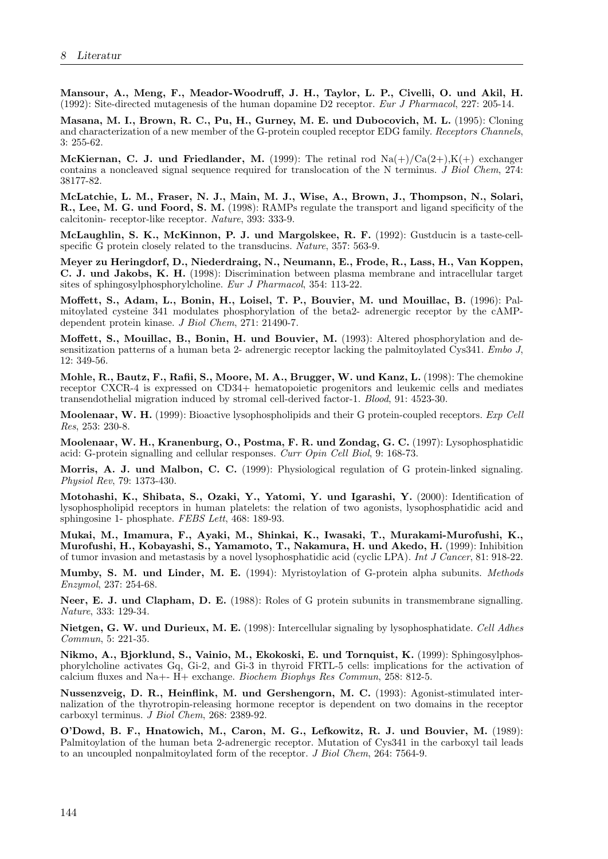Mansour, A., Meng, F., Meador-Woodruff, J. H., Taylor, L. P., Civelli, O. und Akil, H. (1992): Site-directed mutagenesis of the human dopamine D2 receptor. Eur J Pharmacol, 227: 205-14.

Masana, M. I., Brown, R. C., Pu, H., Gurney, M. E. und Dubocovich, M. L. (1995): Cloning and characterization of a new member of the G-protein coupled receptor EDG family. Receptors Channels, 3: 255-62.

McKiernan, C. J. und Friedlander, M. (1999): The retinal rod  $\text{Na}(+)/\text{Ca}(2+),\text{K}(+)$  exchanger contains a noncleaved signal sequence required for translocation of the N terminus. J Biol Chem, 274: 38177-82.

McLatchie, L. M., Fraser, N. J., Main, M. J., Wise, A., Brown, J., Thompson, N., Solari, R., Lee, M. G. und Foord, S. M. (1998): RAMPs regulate the transport and ligand specificity of the calcitonin- receptor-like receptor. Nature, 393: 333-9.

McLaughlin, S. K., McKinnon, P. J. und Margolskee, R. F. (1992): Gustducin is a taste-cellspecific G protein closely related to the transducins. Nature, 357: 563-9.

Meyer zu Heringdorf, D., Niederdraing, N., Neumann, E., Frode, R., Lass, H., Van Koppen, C. J. und Jakobs, K. H. (1998): Discrimination between plasma membrane and intracellular target sites of sphingosylphosphorylcholine. Eur J Pharmacol, 354: 113-22.

Moffett, S., Adam, L., Bonin, H., Loisel, T. P., Bouvier, M. und Mouillac, B. (1996): Palmitoylated cysteine 341 modulates phosphorylation of the beta2- adrenergic receptor by the cAMPdependent protein kinase. J Biol Chem, 271: 21490-7.

Moffett, S., Mouillac, B., Bonin, H. und Bouvier, M. (1993): Altered phosphorylation and desensitization patterns of a human beta 2- adrenergic receptor lacking the palmitoylated Cys341. Embo J, 12: 349-56.

Mohle, R., Bautz, F., Rafii, S., Moore, M. A., Brugger, W. und Kanz, L. (1998): The chemokine receptor CXCR-4 is expressed on CD34+ hematopoietic progenitors and leukemic cells and mediates transendothelial migration induced by stromal cell-derived factor-1. Blood, 91: 4523-30.

Moolenaar, W. H. (1999): Bioactive lysophospholipids and their G protein-coupled receptors. Exp Cell Res, 253: 230-8.

Moolenaar, W. H., Kranenburg, O., Postma, F. R. und Zondag, G. C. (1997): Lysophosphatidic acid: G-protein signalling and cellular responses. Curr Opin Cell Biol, 9: 168-73.

Morris, A. J. und Malbon, C. C. (1999): Physiological regulation of G protein-linked signaling. Physiol Rev, 79: 1373-430.

Motohashi, K., Shibata, S., Ozaki, Y., Yatomi, Y. und Igarashi, Y. (2000): Identification of lysophospholipid receptors in human platelets: the relation of two agonists, lysophosphatidic acid and sphingosine 1- phosphate. FEBS Lett, 468: 189-93.

Mukai, M., Imamura, F., Ayaki, M., Shinkai, K., Iwasaki, T., Murakami-Murofushi, K., Murofushi, H., Kobayashi, S., Yamamoto, T., Nakamura, H. und Akedo, H. (1999): Inhibition of tumor invasion and metastasis by a novel lysophosphatidic acid (cyclic LPA). Int J Cancer, 81: 918-22.

Mumby, S. M. und Linder, M. E. (1994): Myristoylation of G-protein alpha subunits. Methods Enzymol, 237: 254-68.

Neer, E. J. und Clapham, D. E. (1988): Roles of G protein subunits in transmembrane signalling. Nature, 333: 129-34.

Nietgen, G. W. und Durieux, M. E. (1998): Intercellular signaling by lysophosphatidate. Cell Adhes Commun, 5: 221-35.

Nikmo, A., Bjorklund, S., Vainio, M., Ekokoski, E. und Tornquist, K. (1999): Sphingosylphosphorylcholine activates Gq, Gi-2, and Gi-3 in thyroid FRTL-5 cells: implications for the activation of calcium fluxes and Na+-  $\dot{H}$ + exchange. *Biochem Biophys Res Commun*, 258: 812-5.

Nussenzveig, D. R., Heinflink, M. und Gershengorn, M. C. (1993): Agonist-stimulated internalization of the thyrotropin-releasing hormone receptor is dependent on two domains in the receptor carboxyl terminus. J Biol Chem, 268: 2389-92.

O'Dowd, B. F., Hnatowich, M., Caron, M. G., Lefkowitz, R. J. und Bouvier, M. (1989): Palmitoylation of the human beta 2-adrenergic receptor. Mutation of Cys341 in the carboxyl tail leads to an uncoupled nonpalmitoylated form of the receptor. J Biol Chem, 264: 7564-9.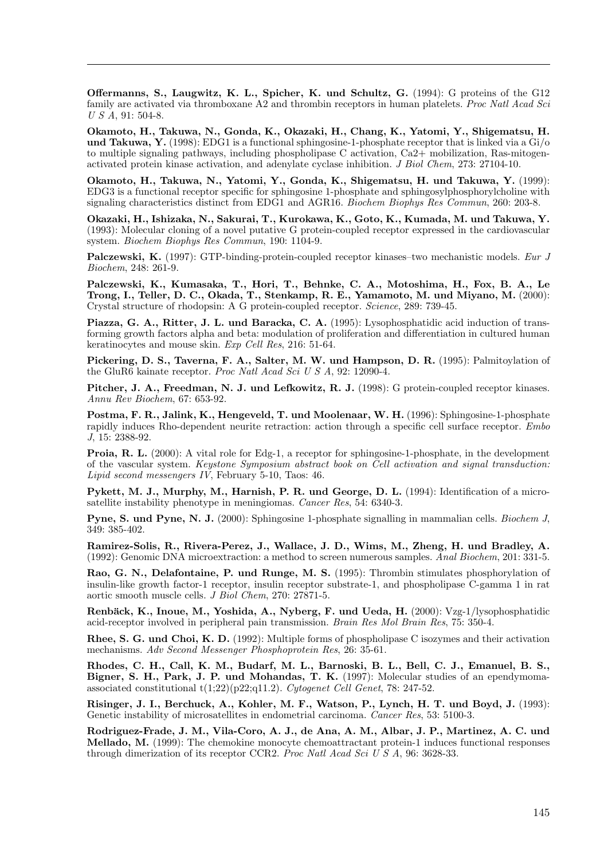Offermanns, S., Laugwitz, K. L., Spicher, K. und Schultz, G. (1994): G proteins of the G12 family are activated via thromboxane A2 and thrombin receptors in human platelets. Proc Natl Acad Sci U S A, 91: 504-8.

Okamoto, H., Takuwa, N., Gonda, K., Okazaki, H., Chang, K., Yatomi, Y., Shigematsu, H. und Takuwa, Y. (1998): EDG1 is a functional sphingosine-1-phosphate receptor that is linked via a  $\rm{Gi/o}$ to multiple signaling pathways, including phospholipase C activation, Ca2+ mobilization, Ras-mitogenactivated protein kinase activation, and adenylate cyclase inhibition. J Biol Chem, 273: 27104-10.

Okamoto, H., Takuwa, N., Yatomi, Y., Gonda, K., Shigematsu, H. und Takuwa, Y. (1999): EDG3 is a functional receptor specific for sphingosine 1-phosphate and sphingosylphosphorylcholine with signaling characteristics distinct from EDG1 and AGR16. Biochem Biophys Res Commun, 260: 203-8.

Okazaki, H., Ishizaka, N., Sakurai, T., Kurokawa, K., Goto, K., Kumada, M. und Takuwa, Y. (1993): Molecular cloning of a novel putative G protein-coupled receptor expressed in the cardiovascular system. Biochem Biophys Res Commun, 190: 1104-9.

Palczewski, K. (1997): GTP-binding-protein-coupled receptor kinases–two mechanistic models. Eur J Biochem, 248: 261-9.

Palczewski, K., Kumasaka, T., Hori, T., Behnke, C. A., Motoshima, H., Fox, B. A., Le Trong, I., Teller, D. C., Okada, T., Stenkamp, R. E., Yamamoto, M. und Miyano, M. (2000): Crystal structure of rhodopsin: A G protein-coupled receptor. Science, 289: 739-45.

Piazza, G. A., Ritter, J. L. und Baracka, C. A. (1995): Lysophosphatidic acid induction of transforming growth factors alpha and beta: modulation of proliferation and differentiation in cultured human keratinocytes and mouse skin. Exp Cell Res, 216: 51-64.

Pickering, D. S., Taverna, F. A., Salter, M. W. und Hampson, D. R. (1995): Palmitoylation of the GluR6 kainate receptor. Proc Natl Acad Sci U S A, 92: 12090-4.

Pitcher, J. A., Freedman, N. J. und Lefkowitz, R. J. (1998): G protein-coupled receptor kinases. Annu Rev Biochem, 67: 653-92.

Postma, F. R., Jalink, K., Hengeveld, T. und Moolenaar, W. H. (1996): Sphingosine-1-phosphate rapidly induces Rho-dependent neurite retraction: action through a specific cell surface receptor. Embo J, 15: 2388-92.

Proia, R. L. (2000): A vital role for Edg-1, a receptor for sphingosine-1-phosphate, in the development of the vascular system. Keystone Symposium abstract book on Cell activation and signal transduction: Lipid second messengers IV, February  $5-10$ , Taos: 46.

Pykett, M. J., Murphy, M., Harnish, P. R. und George, D. L. (1994): Identification of a microsatellite instability phenotype in meningiomas. Cancer Res, 54: 6340-3.

Pyne, S. und Pyne, N. J. (2000): Sphingosine 1-phosphate signalling in mammalian cells. Biochem J, 349: 385-402.

Ramirez-Solis, R., Rivera-Perez, J., Wallace, J. D., Wims, M., Zheng, H. und Bradley, A. (1992): Genomic DNA microextraction: a method to screen numerous samples. Anal Biochem, 201: 331-5.

Rao, G. N., Delafontaine, P. und Runge, M. S. (1995): Thrombin stimulates phosphorylation of insulin-like growth factor-1 receptor, insulin receptor substrate-1, and phospholipase C-gamma 1 in rat aortic smooth muscle cells. J Biol Chem, 270: 27871-5.

Renbäck, K., Inoue, M., Yoshida, A., Nyberg, F. und Ueda, H. (2000): Vzg-1/lysophosphatidic acid-receptor involved in peripheral pain transmission. Brain Res Mol Brain Res, 75: 350-4.

Rhee, S. G. und Choi, K. D. (1992): Multiple forms of phospholipase C isozymes and their activation mechanisms. Adv Second Messenger Phosphoprotein Res, 26: 35-61.

Rhodes, C. H., Call, K. M., Budarf, M. L., Barnoski, B. L., Bell, C. J., Emanuel, B. S., Bigner, S. H., Park, J. P. und Mohandas, T. K. (1997): Molecular studies of an ependymomaassociated constitutional t(1;22)(p22;q11.2). Cytogenet Cell Genet, 78: 247-52.

Risinger, J. I., Berchuck, A., Kohler, M. F., Watson, P., Lynch, H. T. und Boyd, J. (1993): Genetic instability of microsatellites in endometrial carcinoma. Cancer Res, 53: 5100-3.

Rodriguez-Frade, J. M., Vila-Coro, A. J., de Ana, A. M., Albar, J. P., Martinez, A. C. und Mellado, M. (1999): The chemokine monocyte chemoattractant protein-1 induces functional responses through dimerization of its receptor CCR2. Proc Natl Acad Sci U S A, 96: 3628-33.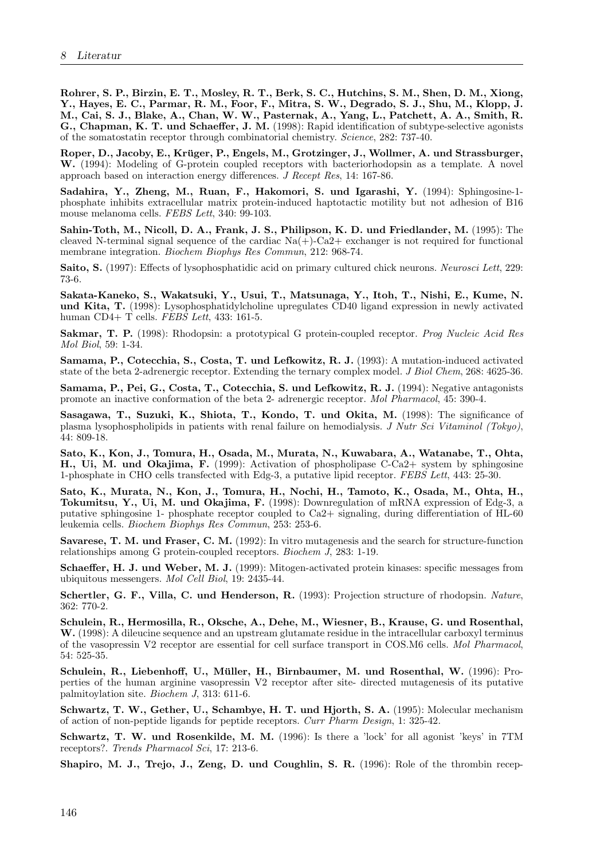Rohrer, S. P., Birzin, E. T., Mosley, R. T., Berk, S. C., Hutchins, S. M., Shen, D. M., Xiong, Y., Hayes, E. C., Parmar, R. M., Foor, F., Mitra, S. W., Degrado, S. J., Shu, M., Klopp, J. M., Cai, S. J., Blake, A., Chan, W. W., Pasternak, A., Yang, L., Patchett, A. A., Smith, R. G., Chapman, K. T. und Schaeffer, J. M. (1998): Rapid identification of subtype-selective agonists of the somatostatin receptor through combinatorial chemistry. Science, 282: 737-40.

Roper, D., Jacoby, E., Krüger, P., Engels, M., Grotzinger, J., Wollmer, A. und Strassburger, W. (1994): Modeling of G-protein coupled receptors with bacteriorhodopsin as a template. A novel approach based on interaction energy differences. J Recept Res, 14: 167-86.

Sadahira, Y., Zheng, M., Ruan, F., Hakomori, S. und Igarashi, Y. (1994): Sphingosine-1 phosphate inhibits extracellular matrix protein-induced haptotactic motility but not adhesion of B16 mouse melanoma cells. FEBS Lett, 340: 99-103.

Sahin-Toth, M., Nicoll, D. A., Frank, J. S., Philipson, K. D. und Friedlander, M. (1995): The cleaved N-terminal signal sequence of the cardiac  $Na(+)$ -Ca2+ exchanger is not required for functional membrane integration. Biochem Biophys Res Commun, 212: 968-74.

Saito, S. (1997): Effects of lysophosphatidic acid on primary cultured chick neurons. Neurosci Lett, 229: 73-6.

Sakata-Kaneko, S., Wakatsuki, Y., Usui, T., Matsunaga, Y., Itoh, T., Nishi, E., Kume, N. und Kita, T. (1998): Lysophosphatidylcholine upregulates CD40 ligand expression in newly activated human CD4+ T cells. FEBS Lett, 433: 161-5.

Sakmar, T. P. (1998): Rhodopsin: a prototypical G protein-coupled receptor. Prog Nucleic Acid Res Mol Biol, 59: 1-34.

Samama, P., Cotecchia, S., Costa, T. und Lefkowitz, R. J. (1993): A mutation-induced activated state of the beta 2-adrenergic receptor. Extending the ternary complex model. J Biol Chem, 268: 4625-36.

Samama, P., Pei, G., Costa, T., Cotecchia, S. und Lefkowitz, R. J. (1994): Negative antagonists promote an inactive conformation of the beta 2- adrenergic receptor. Mol Pharmacol, 45: 390-4.

Sasagawa, T., Suzuki, K., Shiota, T., Kondo, T. und Okita, M. (1998): The significance of plasma lysophospholipids in patients with renal failure on hemodialysis. J Nutr Sci Vitaminol (Tokyo), 44: 809-18.

Sato, K., Kon, J., Tomura, H., Osada, M., Murata, N., Kuwabara, A., Watanabe, T., Ohta, H., Ui, M. und Okajima, F. (1999): Activation of phospholipase C-Ca2+ system by sphingosine 1-phosphate in CHO cells transfected with Edg-3, a putative lipid receptor. FEBS Lett, 443: 25-30.

Sato, K., Murata, N., Kon, J., Tomura, H., Nochi, H., Tamoto, K., Osada, M., Ohta, H., Tokumitsu, Y., Ui, M. und Okajima, F. (1998): Downregulation of mRNA expression of Edg-3, a putative sphingosine 1- phosphate receptor coupled to Ca2+ signaling, during differentiation of HL-60 leukemia cells. Biochem Biophys Res Commun, 253: 253-6.

Savarese, T. M. und Fraser, C. M. (1992): In vitro mutagenesis and the search for structure-function relationships among G protein-coupled receptors. Biochem J, 283: 1-19.

Schaeffer, H. J. und Weber, M. J. (1999): Mitogen-activated protein kinases: specific messages from ubiquitous messengers. Mol Cell Biol, 19: 2435-44.

Schertler, G. F., Villa, C. und Henderson, R. (1993): Projection structure of rhodopsin. Nature, 362: 770-2.

Schulein, R., Hermosilla, R., Oksche, A., Dehe, M., Wiesner, B., Krause, G. und Rosenthal, W. (1998): A dileucine sequence and an upstream glutamate residue in the intracellular carboxyl terminus of the vasopressin V2 receptor are essential for cell surface transport in COS.M6 cells. Mol Pharmacol, 54: 525-35.

Schulein, R., Liebenhoff, U., Müller, H., Birnbaumer, M. und Rosenthal, W. (1996): Properties of the human arginine vasopressin V2 receptor after site- directed mutagenesis of its putative palmitoylation site. Biochem J, 313: 611-6.

Schwartz, T. W., Gether, U., Schambye, H. T. und Hjorth, S. A. (1995): Molecular mechanism of action of non-peptide ligands for peptide receptors. Curr Pharm Design, 1: 325-42.

Schwartz, T. W. und Rosenkilde, M. M. (1996): Is there a 'lock' for all agonist 'keys' in 7TM receptors?. Trends Pharmacol Sci, 17: 213-6.

Shapiro, M. J., Trejo, J., Zeng, D. und Coughlin, S. R. (1996): Role of the thrombin recep-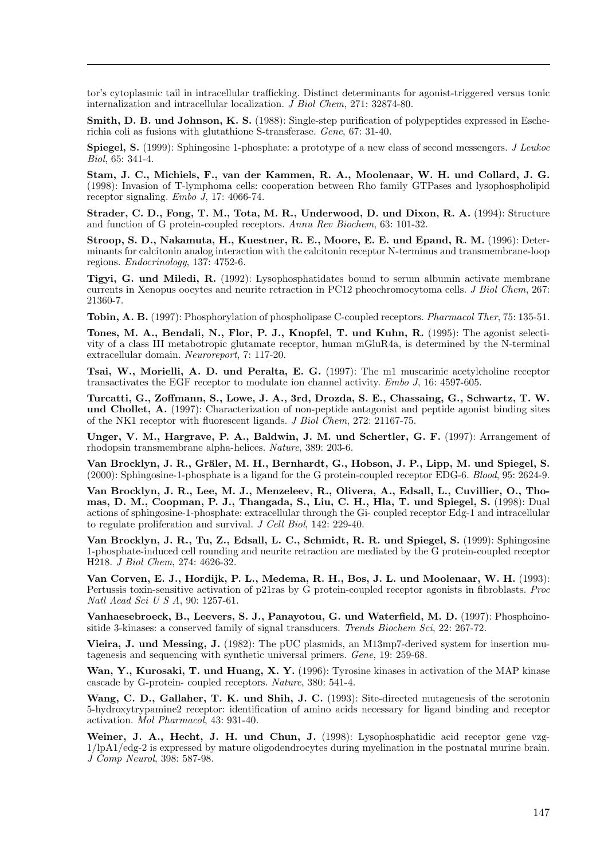tor's cytoplasmic tail in intracellular trafficking. Distinct determinants for agonist-triggered versus tonic internalization and intracellular localization.  $\tilde{J}$  Biol Chem, 271: 32874-80.

Smith, D. B. und Johnson, K. S. (1988): Single-step purification of polypeptides expressed in Escherichia coli as fusions with glutathione S-transferase. Gene, 67: 31-40.

**Spiegel, S.** (1999): Sphingosine 1-phosphate: a prototype of a new class of second messengers. *J Leukoc* Biol, 65: 341-4.

Stam, J. C., Michiels, F., van der Kammen, R. A., Moolenaar, W. H. und Collard, J. G. (1998): Invasion of T-lymphoma cells: cooperation between Rho family GTPases and lysophospholipid receptor signaling. Embo J, 17: 4066-74.

Strader, C. D., Fong, T. M., Tota, M. R., Underwood, D. und Dixon, R. A. (1994): Structure and function of G protein-coupled receptors. Annu Rev Biochem, 63: 101-32.

Stroop, S. D., Nakamuta, H., Kuestner, R. E., Moore, E. E. und Epand, R. M. (1996): Determinants for calcitonin analog interaction with the calcitonin receptor N-terminus and transmembrane-loop regions. Endocrinology, 137: 4752-6.

Tigyi, G. und Miledi, R. (1992): Lysophosphatidates bound to serum albumin activate membrane currents in Xenopus oocytes and neurite retraction in PC12 pheochromocytoma cells. J Biol Chem, 267: 21360-7.

Tobin, A. B. (1997): Phosphorylation of phospholipase C-coupled receptors. Pharmacol Ther, 75: 135-51.

Tones, M. A., Bendali, N., Flor, P. J., Knopfel, T. und Kuhn, R. (1995): The agonist selectivity of a class III metabotropic glutamate receptor, human mGluR4a, is determined by the N-terminal extracellular domain. Neuroreport, 7: 117-20.

Tsai, W., Morielli, A. D. und Peralta, E. G. (1997): The m1 muscarinic acetylcholine receptor transactivates the EGF receptor to modulate ion channel activity. Embo J, 16: 4597-605.

Turcatti, G., Zoffmann, S., Lowe, J. A., 3rd, Drozda, S. E., Chassaing, G., Schwartz, T. W. und Chollet, A. (1997): Characterization of non-peptide antagonist and peptide agonist binding sites of the NK1 receptor with fluorescent ligands. J Biol Chem, 272: 21167-75.

Unger, V. M., Hargrave, P. A., Baldwin, J. M. und Schertler, G. F. (1997): Arrangement of rhodopsin transmembrane alpha-helices. Nature, 389: 203-6.

Van Brocklyn, J. R., Gräler, M. H., Bernhardt, G., Hobson, J. P., Lipp, M. und Spiegel, S. (2000): Sphingosine-1-phosphate is a ligand for the G protein-coupled receptor EDG-6. Blood, 95: 2624-9.

Van Brocklyn, J. R., Lee, M. J., Menzeleev, R., Olivera, A., Edsall, L., Cuvillier, O., Thomas, D. M., Coopman, P. J., Thangada, S., Liu, C. H., Hla, T. und Spiegel, S. (1998): Dual actions of sphingosine-1-phosphate: extracellular through the Gi- coupled receptor Edg-1 and intracellular to regulate proliferation and survival. J Cell Biol, 142: 229-40.

Van Brocklyn, J. R., Tu, Z., Edsall, L. C., Schmidt, R. R. und Spiegel, S. (1999): Sphingosine 1-phosphate-induced cell rounding and neurite retraction are mediated by the G protein-coupled receptor H218. J Biol Chem, 274: 4626-32.

Van Corven, E. J., Hordijk, P. L., Medema, R. H., Bos, J. L. und Moolenaar, W. H. (1993): Pertussis toxin-sensitive activation of p21ras by G protein-coupled receptor agonists in fibroblasts. Proc Natl Acad Sci U S A, 90: 1257-61.

Vanhaesebroeck, B., Leevers, S. J., Panayotou, G. und Waterfield, M. D. (1997): Phosphoinositide 3-kinases: a conserved family of signal transducers. Trends Biochem Sci, 22: 267-72.

Vieira, J. und Messing, J. (1982): The pUC plasmids, an M13mp7-derived system for insertion mutagenesis and sequencing with synthetic universal primers. Gene, 19: 259-68.

Wan, Y., Kurosaki, T. und Huang, X. Y. (1996): Tyrosine kinases in activation of the MAP kinase cascade by G-protein- coupled receptors. Nature, 380: 541-4.

Wang, C. D., Gallaher, T. K. und Shih, J. C. (1993): Site-directed mutagenesis of the serotonin 5-hydroxytrypamine2 receptor: identification of amino acids necessary for ligand binding and receptor activation. Mol Pharmacol, 43: 931-40.

Weiner, J. A., Hecht, J. H. und Chun, J. (1998): Lysophosphatidic acid receptor gene vzg-1/lpA1/edg-2 is expressed by mature oligodendrocytes during myelination in the postnatal murine brain. J Comp Neurol, 398: 587-98.